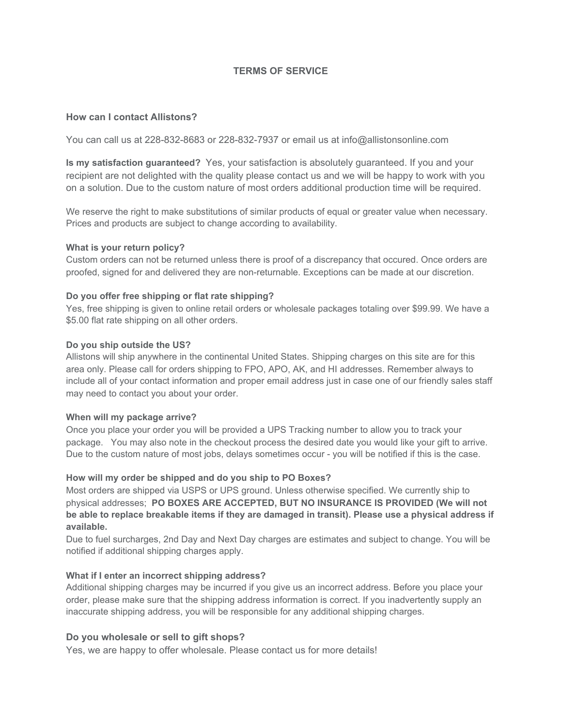## **TERMS OF SERVICE**

## **How can I contact Allistons?**

You can call us at 228-832-8683 or 228-832-7937 or email us at info@allistonsonline.com

**Is my satisfaction guaranteed?** Yes, your satisfaction is absolutely guaranteed. If you and your recipient are not delighted with the quality please contact us and we will be happy to work with you on a solution. Due to the custom nature of most orders additional production time will be required.

We reserve the right to make substitutions of similar products of equal or greater value when necessary. Prices and products are subject to change according to availability.

#### **What is your return policy?**

Custom orders can not be returned unless there is proof of a discrepancy that occured. Once orders are proofed, signed for and delivered they are non-returnable. Exceptions can be made at our discretion.

## **Do you offer free shipping or flat rate shipping?**

Yes, free shipping is given to online retail orders or wholesale packages totaling over \$99.99. We have a \$5.00 flat rate shipping on all other orders.

## **Do you ship outside the US?**

Allistons will ship anywhere in the continental United States. Shipping charges on this site are for this area only. Please call for orders shipping to FPO, APO, AK, and HI addresses. Remember always to include all of your contact information and proper email address just in case one of our friendly sales staff may need to contact you about your order.

#### **When will my package arrive?**

Once you place your order you will be provided a UPS Tracking number to allow you to track your package. You may also note in the checkout process the desired date you would like your gift to arrive. Due to the custom nature of most jobs, delays sometimes occur - you will be notified if this is the case.

#### **How will my order be shipped and do you ship to PO Boxes?**

Most orders are shipped via USPS or UPS ground. Unless otherwise specified. We currently ship to physical addresses; **PO BOXES ARE ACCEPTED, BUT NO INSURANCE IS PROVIDED (We will not** be able to replace breakable items if they are damaged in transit). Please use a physical address if **available.**

Due to fuel surcharges, 2nd Day and Next Day charges are estimates and subject to change. You will be notified if additional shipping charges apply.

## **What if I enter an incorrect shipping address?**

Additional shipping charges may be incurred if you give us an incorrect address. Before you place your order, please make sure that the shipping address information is correct. If you inadvertently supply an inaccurate shipping address, you will be responsible for any additional shipping charges.

## **Do you wholesale or sell to gift shops?**

Yes, we are happy to offer wholesale. Please contact us for more details!